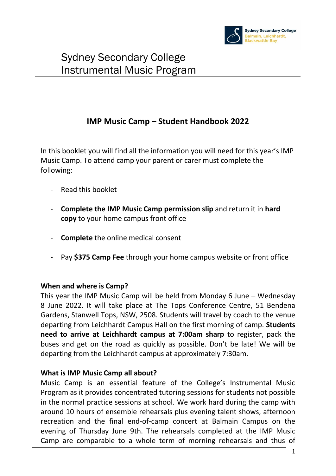

#### **IMP Music Camp – Student Handbook 2022**

In this booklet you will find all the information you will need for this year's IMP Music Camp. To attend camp your parent or carer must complete the following:

- Read this booklet
- **Complete the IMP Music Camp permission slip** and return it in **hard copy** to your home campus front office
- **Complete** the online medical consent
- Pay **\$375 Camp Fee** through your home campus website or front office

#### **When and where is Camp?**

This year the IMP Music Camp will be held from Monday 6 June – Wednesday 8 June 2022. It will take place at The Tops Conference Centre, 51 Bendena Gardens, Stanwell Tops, NSW, 2508. Students will travel by coach to the venue departing from Leichhardt Campus Hall on the first morning of camp. **Students need to arrive at Leichhardt campus at 7:00am sharp** to register, pack the buses and get on the road as quickly as possible. Don't be late! We will be departing from the Leichhardt campus at approximately 7:30am.

#### **What is IMP Music Camp all about?**

Music Camp is an essential feature of the College's Instrumental Music Program as it provides concentrated tutoring sessions for students not possible in the normal practice sessions at school. We work hard during the camp with around 10 hours of ensemble rehearsals plus evening talent shows, afternoon recreation and the final end-of-camp concert at Balmain Campus on the evening of Thursday June 9th. The rehearsals completed at the IMP Music Camp are comparable to a whole term of morning rehearsals and thus of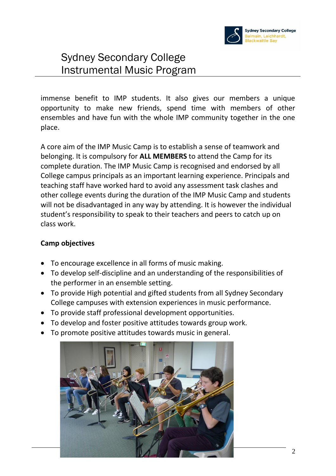

immense benefit to IMP students. It also gives our members a unique opportunity to make new friends, spend time with members of other ensembles and have fun with the whole IMP community together in the one place.

A core aim of the IMP Music Camp is to establish a sense of teamwork and belonging. It is compulsory for **ALL MEMBERS** to attend the Camp for its complete duration. The IMP Music Camp is recognised and endorsed by all College campus principals as an important learning experience. Principals and teaching staff have worked hard to avoid any assessment task clashes and other college events during the duration of the IMP Music Camp and students will not be disadvantaged in any way by attending. It is however the individual student's responsibility to speak to their teachers and peers to catch up on class work.

#### **Camp objectives**

- To encourage excellence in all forms of music making.
- To develop self-discipline and an understanding of the responsibilities of the performer in an ensemble setting.
- To provide High potential and gifted students from all Sydney Secondary College campuses with extension experiences in music performance.
- To provide staff professional development opportunities.
- To develop and foster positive attitudes towards group work.
- To promote positive attitudes towards music in general.

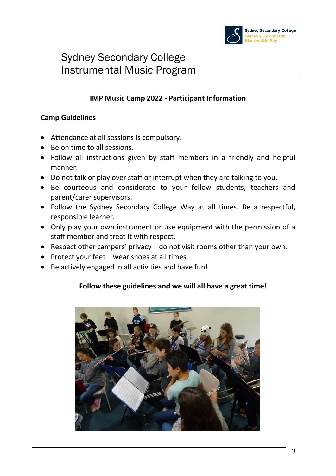

#### **IMP Music Camp 2022 - Participant Information**

#### **Camp Guidelines**

- Attendance at all sessions is compulsory.
- Be on time to all sessions.
- Follow all instructions given by staff members in a friendly and helpful manner.
- Do not talk or play over staff or interrupt when they are talking to you.
- Be courteous and considerate to your fellow students, teachers and parent/carer supervisors.
- Follow the Sydney Secondary College Way at all times. Be a respectful, responsible learner.
- Only play your own instrument or use equipment with the permission of a staff member and treat it with respect.
- Respect other campers' privacy do not visit rooms other than your own.
- Protect your feet wear shoes at all times.
- Be actively engaged in all activities and have fun!

#### **Follow these guidelines and we will all have a great time!**

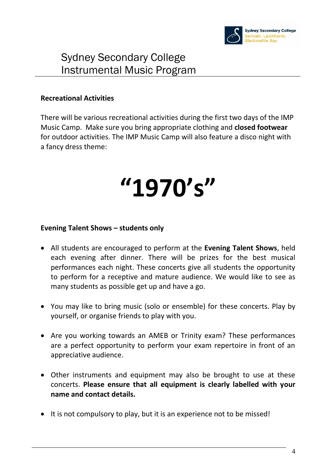

#### **Recreational Activities**

There will be various recreational activities during the first two days of the IMP Music Camp. Make sure you bring appropriate clothing and **closed footwear** for outdoor activities. The IMP Music Camp will also feature a disco night with a fancy dress theme:

# **"1970's"**

#### **Evening Talent Shows – students only**

- All students are encouraged to perform at the **Evening Talent Shows**, held each evening after dinner. There will be prizes for the best musical performances each night. These concerts give all students the opportunity to perform for a receptive and mature audience. We would like to see as many students as possible get up and have a go.
- You may like to bring music (solo or ensemble) for these concerts. Play by yourself, or organise friends to play with you.
- Are you working towards an AMEB or Trinity exam? These performances are a perfect opportunity to perform your exam repertoire in front of an appreciative audience.
- Other instruments and equipment may also be brought to use at these concerts. **Please ensure that all equipment is clearly labelled with your name and contact details.**
- It is not compulsory to play, but it is an experience not to be missed!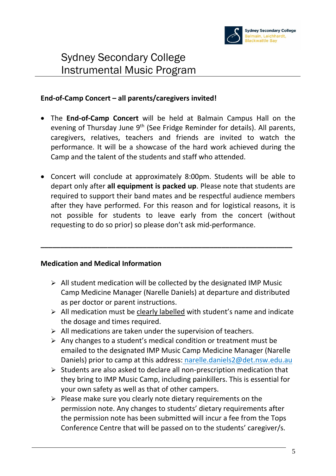

#### **End-of-Camp Concert – all parents/caregivers invited!**

- The **End-of-Camp Concert** will be held at Balmain Campus Hall on the evening of Thursday June 9<sup>th</sup> (See Fridge Reminder for details). All parents, caregivers, relatives, teachers and friends are invited to watch the performance. It will be a showcase of the hard work achieved during the Camp and the talent of the students and staff who attended.
- Concert will conclude at approximately 8:00pm. Students will be able to depart only after **all equipment is packed up**. Please note that students are required to support their band mates and be respectful audience members after they have performed. For this reason and for logistical reasons, it is not possible for students to leave early from the concert (without requesting to do so prior) so please don't ask mid-performance.

**\_\_\_\_\_\_\_\_\_\_\_\_\_\_\_\_\_\_\_\_\_\_\_\_\_\_\_\_\_\_\_\_\_\_\_\_\_\_\_\_\_\_\_\_\_\_\_\_\_\_\_\_\_\_\_\_\_\_\_\_\_\_\_\_**

#### **Medication and Medical Information**

- $\triangleright$  All student medication will be collected by the designated IMP Music Camp Medicine Manager (Narelle Daniels) at departure and distributed as per doctor or parent instructions.
- ➢ All medication must be clearly labelled with student's name and indicate the dosage and times required.
- $\triangleright$  All medications are taken under the supervision of teachers.
- ➢ Any changes to a student's medical condition or treatment must be emailed to the designated IMP Music Camp Medicine Manager (Narelle Daniels) prior to camp at this address: narelle.daniels2@det.nsw.edu.au
- ➢ Students are also asked to declare all non-prescription medication that they bring to IMP Music Camp, including painkillers. This is essential for your own safety as well as that of other campers.
- ➢ Please make sure you clearly note dietary requirements on the permission note. Any changes to students' dietary requirements after the permission note has been submitted will incur a fee from the Tops Conference Centre that will be passed on to the students' caregiver/s.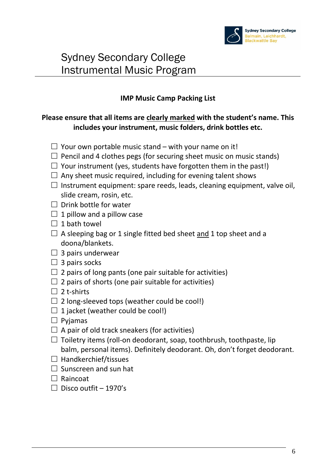

#### **IMP Music Camp Packing List**

#### **Please ensure that all items are clearly marked with the student's name. This includes your instrument, music folders, drink bottles etc.**

- $\Box$  Your own portable music stand with your name on it!
- $\Box$  Pencil and 4 clothes pegs (for securing sheet music on music stands)
- $\Box$  Your instrument (yes, students have forgotten them in the past!)
- $\Box$  Any sheet music required, including for evening talent shows
- $\Box$  Instrument equipment: spare reeds, leads, cleaning equipment, valve oil, slide cream, rosin, etc.
- $\Box$  Drink bottle for water
- $\Box$  1 pillow and a pillow case
- $\Box$  1 bath towel
- $\Box$  A sleeping bag or 1 single fitted bed sheet and 1 top sheet and a doona/blankets.
- $\Box$  3 pairs underwear
- $\Box$  3 pairs socks
- $\Box$  2 pairs of long pants (one pair suitable for activities)
- $\Box$  2 pairs of shorts (one pair suitable for activities)
- $\Box$  2 t-shirts
- $\square$  2 long-sleeved tops (weather could be cool!)
- $\Box$  1 jacket (weather could be cool!)
- $\square$  Pyjamas
- $\Box$  A pair of old track sneakers (for activities)
- $\Box$  Toiletry items (roll-on deodorant, soap, toothbrush, toothpaste, lip balm, personal items). Definitely deodorant. Oh, don't forget deodorant.
- $\Box$  Handkerchief/tissues
- $\Box$  Sunscreen and sun hat
- $\Box$  Raincoat
- $\Box$  Disco outfit 1970's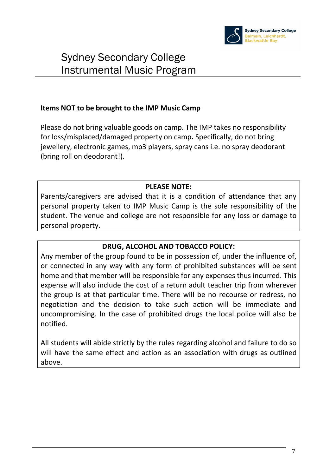

#### **Items NOT to be brought to the IMP Music Camp**

Please do not bring valuable goods on camp. The IMP takes no responsibility for loss/misplaced/damaged property on camp**.** Specifically, do not bring jewellery, electronic games, mp3 players, spray cans i.e. no spray deodorant (bring roll on deodorant!).

#### **PLEASE NOTE:**

Parents/caregivers are advised that it is a condition of attendance that any personal property taken to IMP Music Camp is the sole responsibility of the student. The venue and college are not responsible for any loss or damage to personal property.

#### **DRUG, ALCOHOL AND TOBACCO POLICY:**

Any member of the group found to be in possession of, under the influence of, or connected in any way with any form of prohibited substances will be sent home and that member will be responsible for any expenses thus incurred. This expense will also include the cost of a return adult teacher trip from wherever the group is at that particular time. There will be no recourse or redress, no negotiation and the decision to take such action will be immediate and uncompromising. In the case of prohibited drugs the local police will also be notified.

All students will abide strictly by the rules regarding alcohol and failure to do so will have the same effect and action as an association with drugs as outlined above.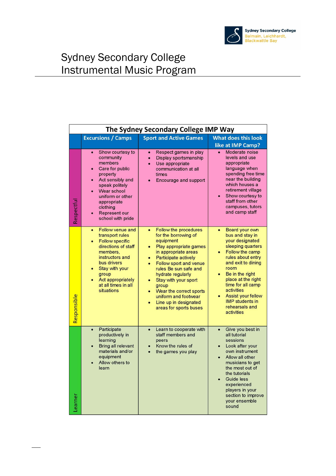

| The Sydney Secondary College IMP Way |                                                                                                                                                                                                                                      |                                                                                                                                                                                                                                                                                                                                                                                                         |                                                                                                                                                                                                                                                                                                                                              |
|--------------------------------------|--------------------------------------------------------------------------------------------------------------------------------------------------------------------------------------------------------------------------------------|---------------------------------------------------------------------------------------------------------------------------------------------------------------------------------------------------------------------------------------------------------------------------------------------------------------------------------------------------------------------------------------------------------|----------------------------------------------------------------------------------------------------------------------------------------------------------------------------------------------------------------------------------------------------------------------------------------------------------------------------------------------|
|                                      | <b>Excursions / Camps</b>                                                                                                                                                                                                            | <b>Sport and Active Games</b>                                                                                                                                                                                                                                                                                                                                                                           | <b>What does this look</b><br>like at IMP Camp?                                                                                                                                                                                                                                                                                              |
| Respectful                           | Show courtesy to<br>community<br>members<br>Care for public<br>property<br>Act sensibly and<br>speak politely<br>Wear school<br>uniform or other<br>appropriate<br>clothing<br>Represent our<br>school with pride                    | Respect games in play<br>$\bullet$<br>Display sportsmanship<br>$\bullet$<br>Use appropriate<br>$\bullet$<br>communication at all<br>times<br>Encourage and support                                                                                                                                                                                                                                      | Moderate noise<br>levels and use<br>appropriate<br>language when<br>spending free time<br>near the building<br>which houses a<br>retirement village<br>Show courtesy to<br>staff from other<br>campuses, tutors<br>and camp staff                                                                                                            |
| Responsible                          | Follow venue and<br>$\bullet$<br>transport rules<br><b>Follow specific</b><br>directions of staff<br>members,<br>instructors and<br>bus drivers<br>Stay with your<br>group<br>Act appropriately<br>at all times in all<br>situations | Follow the procedures<br>$\bullet$<br>for the borrowing of<br>equipment<br>Play appropriate games<br>in appropriate areas<br>Participate actively<br>$\bullet$<br>Follow sport and venue<br>$\bullet$<br>rules Be sun safe and<br>hydrate regularly<br>Stay with your sport<br>$\bullet$<br>group<br>Wear the correct sports<br>uniform and footwear<br>Line up in designated<br>areas for sports buses | Board your own<br>$\bullet$<br>bus and stay in<br>your designated<br>sleeping quarters<br>Follow the camp<br>rules about entry<br>and exit to dining<br>room<br>Be in the right<br>$\bullet$<br>place at the right<br>time for all camp<br>activities<br><b>Assist your fellow</b><br><b>IMP</b> students in<br>rehearsals and<br>activities |
| earner                               | Participate<br>productively in<br>learning<br>Bring all relevant<br>materials and/or<br>equipment<br>Allow others to<br>learn                                                                                                        | Learn to cooperate with<br>$\bullet$<br>staff members and<br>peers<br>Know the rules of<br>the games you play                                                                                                                                                                                                                                                                                           | Give you best in<br>$\bullet$<br>all tutorial<br>sessions<br>Look after your<br>own instrument<br>Allow all other<br>musicians to get<br>the most out of<br>the tutorials<br>Guide less<br>experienced<br>players in your<br>section to improve<br>vour ensemble<br>sound                                                                    |